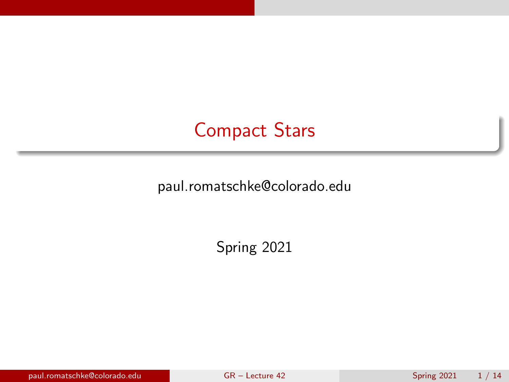## <span id="page-0-0"></span>Compact Stars

paul.romatschke@colorado.edu

Spring 2021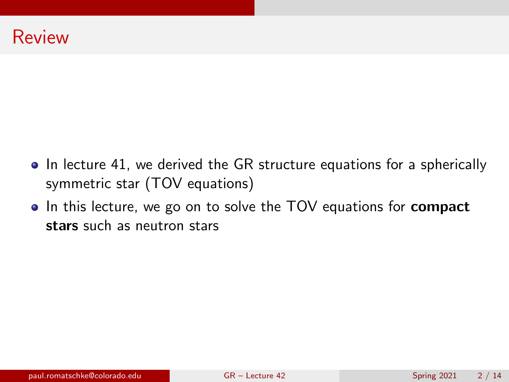- In lecture 41, we derived the GR structure equations for a spherically symmetric star (TOV equations)
- In this lecture, we go on to solve the TOV equations for **compact** stars such as neutron stars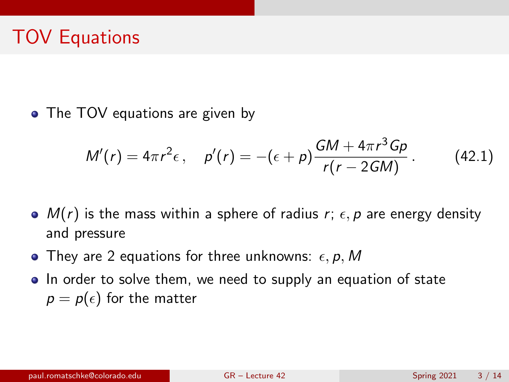# TOV Equations

• The TOV equations are given by

<span id="page-2-0"></span>
$$
M'(r) = 4\pi r^2 \epsilon, \quad p'(r) = -(\epsilon + p) \frac{GM + 4\pi r^3 G p}{r(r - 2GM)}.
$$
 (42.1)

- $M(r)$  is the mass within a sphere of radius r;  $\epsilon$ , p are energy density and pressure
- They are 2 equations for three unknowns:  $\epsilon$ , p, M
- In order to solve them, we need to supply an equation of state  $p = p(\epsilon)$  for the matter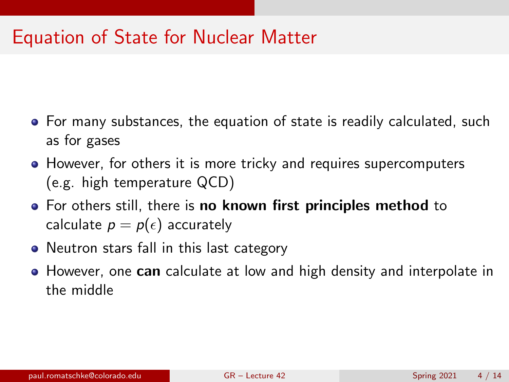## Equation of State for Nuclear Matter

- For many substances, the equation of state is readily calculated, such as for gases
- However, for others it is more tricky and requires supercomputers (e.g. high temperature QCD)
- For others still, there is no known first principles method to calculate  $p = p(\epsilon)$  accurately
- Neutron stars fall in this last category
- However, one can calculate at low and high density and interpolate in the middle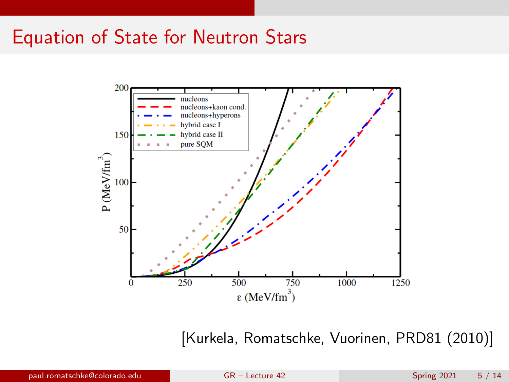### Equation of State for Neutron Stars



[Kurkela, Romatschke, Vuorinen, PRD81 (2010)]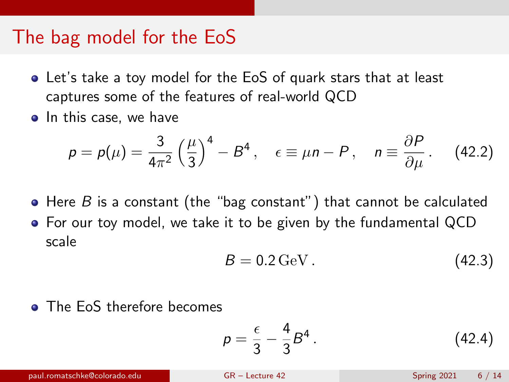#### The bag model for the EoS

- Let's take a toy model for the EoS of quark stars that at least captures some of the features of real-world QCD
- In this case, we have

$$
p = p(\mu) = \frac{3}{4\pi^2} \left(\frac{\mu}{3}\right)^4 - B^4 \,, \quad \epsilon \equiv \mu n - P \,, \quad n \equiv \frac{\partial P}{\partial \mu} \,. \tag{42.2}
$$

- $\bullet$  Here B is a constant (the "bag constant") that cannot be calculated
- For our toy model, we take it to be given by the fundamental QCD scale

$$
B = 0.2 \,\text{GeV} \,. \tag{42.3}
$$

• The EoS therefore becomes

$$
p = \frac{\epsilon}{3} - \frac{4}{3}B^4. \tag{42.4}
$$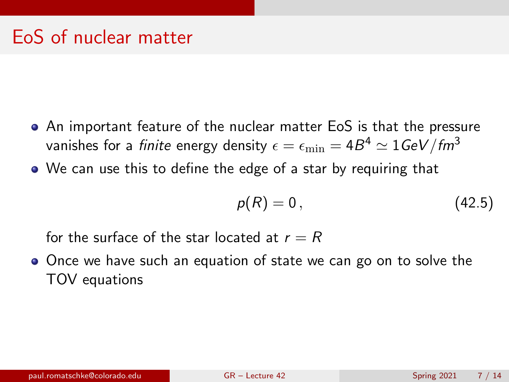## EoS of nuclear matter

- An important feature of the nuclear matter EoS is that the pressure vanishes for a *finite* energy density  $\epsilon = \epsilon_{\rm min} = 4B^4 \simeq 1$ GeV/fm $^3$
- We can use this to define the edge of a star by requiring that

$$
p(R)=0\,,\tag{42.5}
$$

for the surface of the star located at  $r = R$ 

Once we have such an equation of state we can go on to solve the TOV equations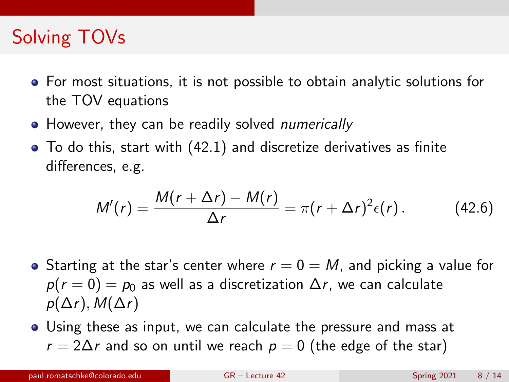# Solving TOVs

- For most situations, it is not possible to obtain analytic solutions for the TOV equations
- However, they can be readily solved numerically
- To do this, start with [\(42.1\)](#page-2-0) and discretize derivatives as finite differences, e.g.

$$
M'(r) = \frac{M(r + \Delta r) - M(r)}{\Delta r} = \pi (r + \Delta r)^2 \epsilon(r).
$$
 (42.6)

- Starting at the star's center where  $r = 0 = M$ , and picking a value for  $p(r = 0) = p_0$  as well as a discretization  $\Delta r$ , we can calculate  $p(\Delta r)$ ,  $M(\Delta r)$
- Using these as input, we can calculate the pressure and mass at  $r = 2\Delta r$  and so on until we reach  $p = 0$  (the edge of the star)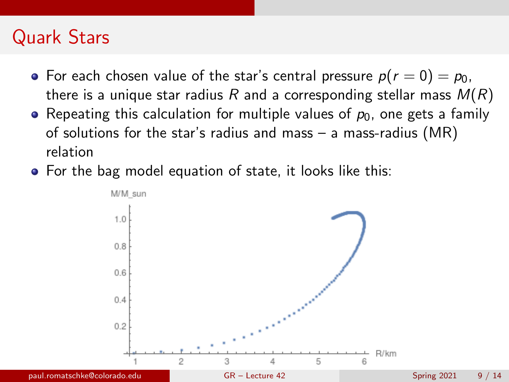## Quark Stars

- For each chosen value of the star's central pressure  $p(r = 0) = p_0$ , there is a unique star radius R and a corresponding stellar mass  $M(R)$
- Repeating this calculation for multiple values of  $p_0$ , one gets a family of solutions for the star's radius and mass  $-$  a mass-radius (MR) relation
- For the bag model equation of state, it looks like this:

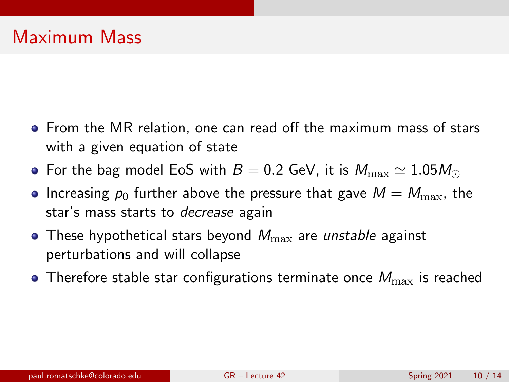- From the MR relation, one can read off the maximum mass of stars with a given equation of state
- For the bag model EoS with  $B = 0.2$  GeV, it is  $M_{\rm max} \simeq 1.05 M_{\odot}$
- Increasing  $p_0$  further above the pressure that gave  $M = M_{\text{max}}$ , the star's mass starts to *decrease* again
- These hypothetical stars beyond  $M_{\text{max}}$  are *unstable* against perturbations and will collapse
- Therefore stable star configurations terminate once  $M_{\text{max}}$  is reached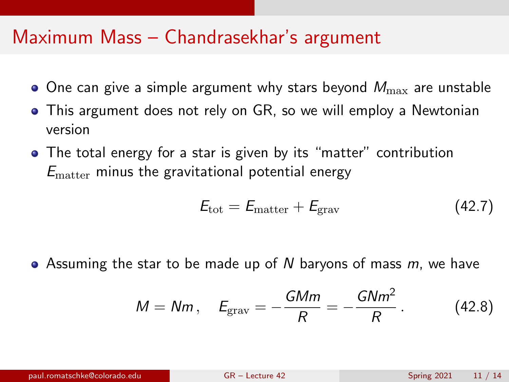#### Maximum Mass – Chandrasekhar's argument

- $\bullet$  One can give a simple argument why stars beyond  $M_{\text{max}}$  are unstable
- This argument does not rely on GR, so we will employ a Newtonian version
- The total energy for a star is given by its "matter" contribution  $E_{\text{matter}}$  minus the gravitational potential energy

$$
E_{\rm tot} = E_{\rm matter} + E_{\rm grav} \tag{42.7}
$$

• Assuming the star to be made up of N baryons of mass  $m$ , we have

$$
M = Nm, \quad E_{\text{grav}} = -\frac{GMm}{R} = -\frac{GNm^2}{R} \,. \tag{42.8}
$$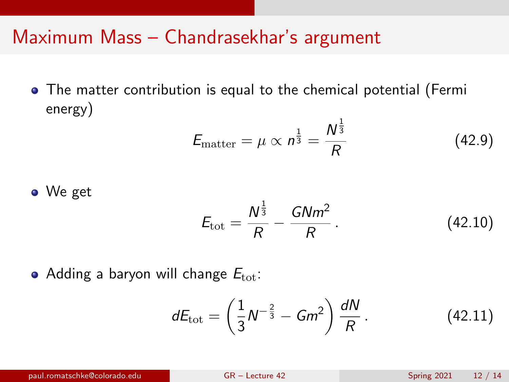### Maximum Mass – Chandrasekhar's argument

The matter contribution is equal to the chemical potential (Fermi energy) 1

$$
E_{\text{matter}} = \mu \propto n^{\frac{1}{3}} = \frac{N^{\frac{2}{3}}}{R}
$$
 (42.9)

• We get

$$
E_{\rm tot} = \frac{N^{\frac{1}{3}}}{R} - \frac{GNm^2}{R} \,. \tag{42.10}
$$

• Adding a baryon will change  $E_{\text{tot}}$ :

$$
dE_{\rm tot} = \left(\frac{1}{3}N^{-\frac{2}{3}} - Gm^2\right)\frac{dN}{R}.
$$
 (42.11)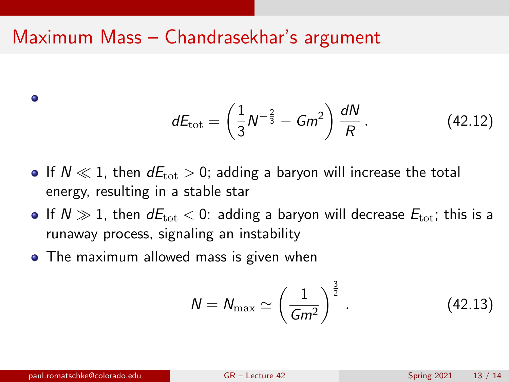### Maximum Mass – Chandrasekhar's argument

$$
dE_{\rm tot} = \left(\frac{1}{3}N^{-\frac{2}{3}} - Gm^2\right)\frac{dN}{R}.
$$
 (42.12)

- If  $N \ll 1$ , then  $dE_{\text{tot}} > 0$ ; adding a baryon will increase the total energy, resulting in a stable star
- If  $N \gg 1$ , then  $dE_{\text{tot}} < 0$ : adding a baryon will decrease  $E_{\text{tot}}$ ; this is a runaway process, signaling an instability
- The maximum allowed mass is given when

$$
N = N_{\text{max}} \simeq \left(\frac{1}{Gm^2}\right)^{\frac{3}{2}}.\tag{42.13}
$$

 $\bullet$